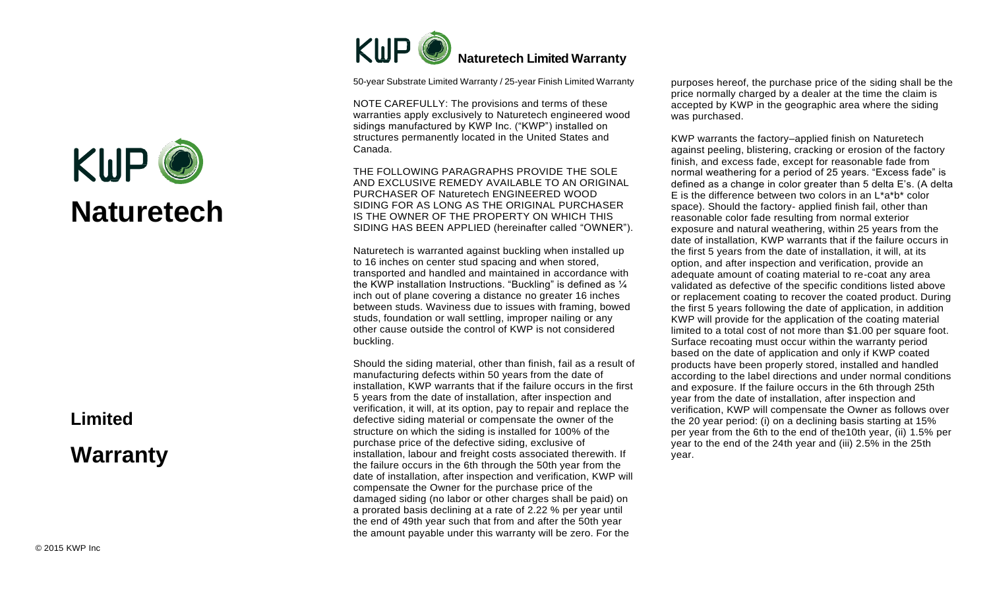

50-year Substrate Limited Warranty / 25-year Finish Limited Warranty

NOTE CAREFULLY: The provisions and terms of these warranties apply exclusively to Naturetech engineered wood sidings manufactured by KWP Inc. ("KWP") installed on structures permanently located in the United States and Canada.

THE FOLLOWING PARAGRAPHS PROVIDE THE SOLE AND EXCLUSIVE REMEDY AVAILABLE TO AN ORIGINAL PURCHASER OF Naturetech ENGINEERED WOOD SIDING FOR AS LONG AS THE ORIGINAL PURCHASER IS THE OWNER OF THE PROPERTY ON WHICH THIS SIDING HAS BEEN APPLIED (hereinafter called "OWNER").

Naturetech is warranted against buckling when installed up to 16 inches on center stud spacing and when stored, transported and handled and maintained in accordance with the KWP installation Instructions. "Buckling" is defined as ¼ inch out of plane covering a distance no greater 16 inches between studs. Waviness due to issues with framing, bowed studs, foundation or wall settling, improper nailing or any other cause outside the control of KWP is not considered buckling.

Should the siding material, other than finish, fail as a result of manufacturing defects within 50 years from the date of installation, KWP warrants that if the failure occurs in the first 5 years from the date of installation, after inspection and verification, it will, at its option, pay to repair and replace the defective siding material or compensate the owner of the structure on which the siding is installed for 100% of the purchase price of the defective siding, exclusive of installation, labour and freight costs associated therewith. If the failure occurs in the 6th through the 50th year from the date of installation, after inspection and verification, KWP will compensate the Owner for the purchase price of the damaged siding (no labor or other charges shall be paid) on a prorated basis declining at a rate of 2.22 % per year until the end of 49th year such that from and after the 50th year the amount payable under this warranty will be zero. For the

purposes hereof, the purchase price of the siding shall be the price normally charged by a dealer at the time the claim is accepted by KWP in the geographic area where the siding was purchased.

KWP warrants the factory–applied finish on Naturetech against peeling, blistering, cracking or erosion of the factory finish, and excess fade, except for reasonable fade from normal weathering for a period of 25 years. "Excess fade" is defined as a change in color greater than 5 delta E's. (A delta E is the difference between two colors in an L\*a\*b\* color space). Should the factory- applied finish fail, other than reasonable color fade resulting from normal exterior exposure and natural weathering, within 25 years from the date of installation, KWP warrants that if the failure occurs in the first 5 years from the date of installation, it will, at its option, and after inspection and verification, provide an adequate amount of coating material to re-coat any area validated as defective of the specific conditions listed above or replacement coating to recover the coated product. During the first 5 years following the date of application, in addition KWP will provide for the application of the coating material limited to a total cost of not more than \$1.00 per square foot. Surface recoating must occur within the warranty period based on the date of application and only if KWP coated products have been properly stored, installed and handled according to the label directions and under normal conditions and exposure. If the failure occurs in the 6th through 25th year from the date of installation, after inspection and verification, KWP will compensate the Owner as follows over the 20 year period: (i) on a declining basis starting at 15% per year from the 6th to the end of the10th year, (ii) 1.5% per year to the end of the 24th year and (iii) 2.5% in the 25th year.

## KMP © **Naturetech**

## **Limited Warranty**